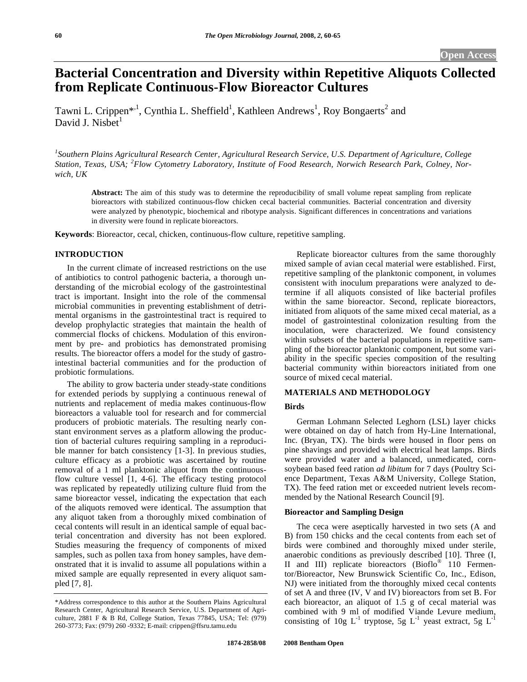# **Bacterial Concentration and Diversity within Repetitive Aliquots Collected from Replicate Continuous-Flow Bioreactor Cultures**

Tawni L. Crippen<sup>\*, 1</sup>, Cynthia L. Sheffield<sup>1</sup>, Kathleen Andrews<sup>1</sup>, Roy Bongaerts<sup>2</sup> and David J. Nisbet $<sup>1</sup>$ </sup>

*1 Southern Plains Agricultural Research Center, Agricultural Research Service, U.S. Department of Agriculture, College Station, Texas, USA; <sup>2</sup> Flow Cytometry Laboratory, Institute of Food Research, Norwich Research Park, Colney, Norwich, UK* 

**Abstract:** The aim of this study was to determine the reproducibility of small volume repeat sampling from replicate bioreactors with stabilized continuous-flow chicken cecal bacterial communities. Bacterial concentration and diversity were analyzed by phenotypic, biochemical and ribotype analysis. Significant differences in concentrations and variations in diversity were found in replicate bioreactors.

**Keywords**: Bioreactor, cecal, chicken, continuous-flow culture, repetitive sampling.

#### **INTRODUCTION**

 In the current climate of increased restrictions on the use of antibiotics to control pathogenic bacteria, a thorough understanding of the microbial ecology of the gastrointestinal tract is important. Insight into the role of the commensal microbial communities in preventing establishment of detrimental organisms in the gastrointestinal tract is required to develop prophylactic strategies that maintain the health of commercial flocks of chickens. Modulation of this environment by pre- and probiotics has demonstrated promising results. The bioreactor offers a model for the study of gastrointestinal bacterial communities and for the production of probiotic formulations.

 The ability to grow bacteria under steady-state conditions for extended periods by supplying a continuous renewal of nutrients and replacement of media makes continuous-flow bioreactors a valuable tool for research and for commercial producers of probiotic materials. The resulting nearly constant environment serves as a platform allowing the production of bacterial cultures requiring sampling in a reproducible manner for batch consistency [1-3]. In previous studies, culture efficacy as a probiotic was ascertained by routine removal of a 1 ml planktonic aliquot from the continuousflow culture vessel [1, 4-6]. The efficacy testing protocol was replicated by repeatedly utilizing culture fluid from the same bioreactor vessel, indicating the expectation that each of the aliquots removed were identical. The assumption that any aliquot taken from a thoroughly mixed combination of cecal contents will result in an identical sample of equal bacterial concentration and diversity has not been explored. Studies measuring the frequency of components of mixed samples, such as pollen taxa from honey samples, have demonstrated that it is invalid to assume all populations within a mixed sample are equally represented in every aliquot sampled [7, 8].

 Replicate bioreactor cultures from the same thoroughly mixed sample of avian cecal material were established. First, repetitive sampling of the planktonic component, in volumes consistent with inoculum preparations were analyzed to determine if all aliquots consisted of like bacterial profiles within the same bioreactor. Second, replicate bioreactors, initiated from aliquots of the same mixed cecal material, as a model of gastrointestinal colonization resulting from the inoculation, were characterized. We found consistency within subsets of the bacterial populations in repetitive sampling of the bioreactor planktonic component, but some variability in the specific species composition of the resulting bacterial community within bioreactors initiated from one source of mixed cecal material.

## **MATERIALS AND METHODOLOGY**

#### **Birds**

 German Lohmann Selected Leghorn (LSL) layer chicks were obtained on day of hatch from Hy-Line International, Inc. (Bryan, TX). The birds were housed in floor pens on pine shavings and provided with electrical heat lamps. Birds were provided water and a balanced, unmedicated, cornsoybean based feed ration *ad libitum* for 7 days (Poultry Science Department, Texas A&M University, College Station, TX). The feed ration met or exceeded nutrient levels recommended by the National Research Council [9].

## **Bioreactor and Sampling Design**

 The ceca were aseptically harvested in two sets (A and B) from 150 chicks and the cecal contents from each set of birds were combined and thoroughly mixed under sterile, anaerobic conditions as previously described [10]. Three (I, II and III) replicate bioreactors (Bioflo® 110 Fermentor/Bioreactor, New Brunswick Scientific Co, Inc., Edison, NJ) were initiated from the thoroughly mixed cecal contents of set A and three (IV, V and IV) bioreactors from set B. For each bioreactor, an aliquot of 1.5 g of cecal material was combined with 9 ml of modified Viande Levure medium, consisting of 10g  $L^{-1}$  tryptose, 5g  $L^{-1}$  yeast extract, 5g  $L^{-1}$ 

<sup>\*</sup>Address correspondence to this author at the Southern Plains Agricultural Research Center, Agricultural Research Service, U.S. Department of Agriculture, 2881 F & B Rd, College Station, Texas 77845, USA; Tel: (979) 260-3773; Fax: (979) 260 -9332; E-mail: crippen@ffsru.tamu.edu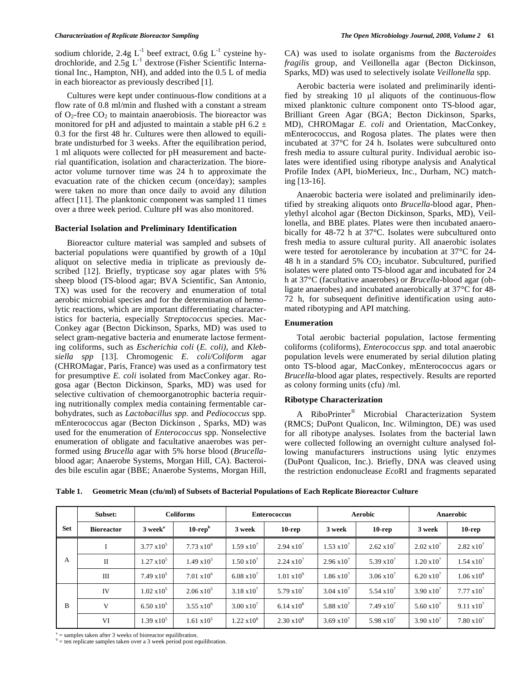sodium chloride, 2.4g  $L^{-1}$  beef extract, 0.6g  $L^{-1}$  cysteine hydrochloride, and  $2.5g$   $L^{-1}$  dextrose (Fisher Scientific International Inc., Hampton, NH), and added into the 0.5 L of media in each bioreactor as previously described [1].

 Cultures were kept under continuous-flow conditions at a flow rate of 0.8 ml/min and flushed with a constant a stream of  $O_2$ -free  $CO_2$  to maintain anaerobiosis. The bioreactor was monitored for pH and adjusted to maintain a stable pH 6.2  $\pm$ 0.3 for the first 48 hr. Cultures were then allowed to equilibrate undisturbed for 3 weeks. After the equilibration period, 1 ml aliquots were collected for pH measurement and bacterial quantification, isolation and characterization. The bioreactor volume turnover time was 24 h to approximate the evacuation rate of the chicken cecum (once/day); samples were taken no more than once daily to avoid any dilution affect [11]. The planktonic component was sampled 11 times over a three week period. Culture pH was also monitored.

#### **Bacterial Isolation and Preliminary Identification**

 Bioreactor culture material was sampled and subsets of bacterial populations were quantified by growth of a 10μl aliquot on selective media in triplicate as previously described [12]. Briefly, trypticase soy agar plates with 5% sheep blood (TS-blood agar; BVA Scientific, San Antonio, TX) was used for the recovery and enumeration of total aerobic microbial species and for the determination of hemolytic reactions, which are important differentiating characteristics for bacteria, especially *Streptococcus* species. Mac-Conkey agar (Becton Dickinson, Sparks, MD) was used to select gram-negative bacteria and enumerate lactose fermenting coliforms, such as *Escherichia coli* (*E. coli)*, and *Klebsiella spp* [13]. Chromogenic *E. coli/Coliform* agar (CHROMagar, Paris, France) was used as a confirmatory test for presumptive *E. coli* isolated from MacConkey agar. Rogosa agar (Becton Dickinson, Sparks, MD) was used for selective cultivation of chemoorganotrophic bacteria requiring nutritionally complex media containing fermentable carbohydrates, such as *Lactobacillus spp.* and *Pediococcus* spp. mEnterococcus agar (Becton Dickinson , Sparks, MD) was used for the enumeration of *Enterococcus* spp. Nonselective enumeration of obligate and facultative anaerobes was performed using *Brucella* agar with 5% horse blood (*Brucella*blood agar; Anaerobe Systems, Morgan Hill, CA). Bacteroides bile esculin agar (BBE; Anaerobe Systems, Morgan Hill,

CA) was used to isolate organisms from the *Bacteroides fragilis* group, and Veillonella agar (Becton Dickinson, Sparks, MD) was used to selectively isolate *Veillonella* spp.

 Aerobic bacteria were isolated and preliminarily identified by streaking  $10 \mu l$  aliquots of the continuous-flow mixed planktonic culture component onto TS-blood agar, Brilliant Green Agar (BGA; Becton Dickinson, Sparks, MD), CHROMagar *E. coli* and Orientation, MacConkey, mEnterococcus, and Rogosa plates. The plates were then incubated at 37°C for 24 h. Isolates were subcultured onto fresh media to assure cultural purity. Individual aerobic isolates were identified using ribotype analysis and Analytical Profile Index (API, bioMerieux, Inc., Durham, NC) matching [13-16].

 Anaerobic bacteria were isolated and preliminarily identified by streaking aliquots onto *Brucella*-blood agar, Phenylethyl alcohol agar (Becton Dickinson, Sparks, MD), Veillonella, and BBE plates. Plates were then incubated anaerobically for 48-72 h at 37°C. Isolates were subcultured onto fresh media to assure cultural purity. All anaerobic isolates were tested for aerotolerance by incubation at 37°C for 24- 48 h in a standard 5%  $CO<sub>2</sub>$  incubator. Subcultured, purified isolates were plated onto TS-blood agar and incubated for 24 h at 37°C (facultative anaerobes) or *Brucella*-blood agar (obligate anaerobes) and incubated anaerobically at 37°C for 48- 72 h, for subsequent definitive identification using automated ribotyping and API matching.

#### **Enumeration**

 Total aerobic bacterial population, lactose fermenting coliforms (coliforms), *Enterococcus spp.* and total anaerobic population levels were enumerated by serial dilution plating onto TS-blood agar, MacConkey, mEnterococcus agars or *Brucella*-blood agar plates, respectively. Results are reported as colony forming units (cfu) /ml.

#### **Ribotype Characterization**

 A RiboPrinter® Microbial Characterization System (RMCS; DuPont Qualicon, Inc. Wilmington, DE) was used for all ribotype analyses. Isolates from the bacterial lawn were collected following an overnight culture analysed following manufacturers instructions using lytic enzymes (DuPont Qualicon, Inc.). Briefly, DNA was cleaved using the restriction endonuclease *Eco*RI and fragments separated

| Table 1. Geometric Mean (cfu/ml) of Subsets of Bacterial Populations of Each Replicate Bioreactor Culture |  |
|-----------------------------------------------------------------------------------------------------------|--|
|                                                                                                           |  |

|     | Subset:           | <b>Coliforms</b>    |                      | <b>Enterococcus</b>  |                      | <b>Aerobic</b>       |                      | <b>Anaerobic</b>     |                      |
|-----|-------------------|---------------------|----------------------|----------------------|----------------------|----------------------|----------------------|----------------------|----------------------|
| Set | <b>Bioreactor</b> | 3 week <sup>a</sup> | $10$ -rep $b$        | 3 week               | $10$ -rep            | 3 week               | $10$ -rep            | 3 week               | $10$ -rep            |
| A   |                   | $3.77 \times 10^5$  | $7.73 \times 10^6$   | $1.59 \times 10^{7}$ | $2.94 \times 10^{7}$ | $1.53 \times 10^{7}$ | $2.62 \times 10^7$   | $2.02 \times 10^7$   | $2.82 \times 10^7$   |
|     | $\mathbf{I}$      | $1.27 \times 10^5$  | $1.49 \times 10^5$   | $1.50 \times 10^{7}$ | $2.24 \times 10^{7}$ | $2.96 \times 10^{7}$ | 5.39 $x10^7$         | $1.20 \times 10^{7}$ | $1.54 \times 10^{7}$ |
|     | $\mathbf{I}$      | $7.49 \times 10^5$  | $7.01 \times 10^6$   | $6.08 \times 10^{7}$ | $1.01 \times 10^{9}$ | $1.86 \times 10^{7}$ | $3.06 \times 10^{7}$ | $6.20 \times 10^{7}$ | $1.06 \times 10^8$   |
| B   | <b>IV</b>         | $1.02 \times 10^5$  | $2.06 \times 10^5$   | $3.18 \times 10^{7}$ | $5.79 \times 10^{7}$ | $3.04 \times 10^{7}$ | 5.54 $x10^7$         | $3.90 \times 10^{7}$ | $7.77 \times 10^7$   |
|     | V                 | $6.50 \times 10^5$  | $3.55 \times 10^{6}$ | $3.00 \times 10^{7}$ | $6.14 \times 10^8$   | 5.88 $x10^7$         | $7.49 \times 10^{7}$ | $5.60 \times 10^{7}$ | $9.11 \times 10^{7}$ |
|     | VI                | $1.39 \times 10^5$  | $1.61 \times 10^5$   | $1.22 \times 10^8$   | $2.30 \times 10^8$   | $3.69 \times 10^{7}$ | 5.98 $x10^7$         | $3.90 \times 10^{7}$ | $7.80 \times 10^{7}$ |

a = samples taken after 3 weeks of bioreactor equilibration.

 $b = \text{ten replicate samples taken over a 3 week period post equilibration.}$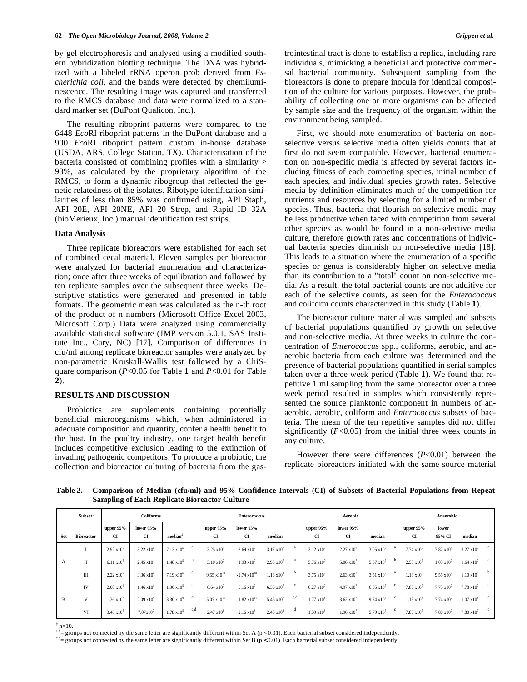by gel electrophoresis and analysed using a modified southern hybridization blotting technique. The DNA was hybridized with a labeled rRNA operon prob derived from *Escherichia coli*, and the bands were detected by chemiluminescence. The resulting image was captured and transferred to the RMCS database and data were normalized to a standard marker set (DuPont Qualicon, Inc.).

 The resulting riboprint patterns were compared to the 6448 *Eco*RI riboprint patterns in the DuPont database and a 900 *Eco*RI riboprint pattern custom in-house database (USDA, ARS, College Station, TX). Characterisation of the bacteria consisted of combining profiles with a similarity  $\geq$ 93%, as calculated by the proprietary algorithm of the RMCS, to form a dynamic ribogroup that reflected the genetic relatedness of the isolates. Ribotype identification similarities of less than 85% was confirmed using, API Staph, API 20E, API 20NE, API 20 Strep, and Rapid ID 32A (bioMerieux, Inc.) manual identification test strips.

#### **Data Analysis**

 Three replicate bioreactors were established for each set of combined cecal material. Eleven samples per bioreactor were analyzed for bacterial enumeration and characterization; once after three weeks of equilibration and followed by ten replicate samples over the subsequent three weeks. Descriptive statistics were generated and presented in table formats. The geometric mean was calculated as the n-th root of the product of n numbers (Microsoft Office Excel 2003, Microsoft Corp.) Data were analyzed using commercially available statistical software (JMP version 5.0.1, SAS Institute Inc., Cary, NC) [17]. Comparison of differences in cfu/ml among replicate bioreactor samples were analyzed by non-parametric Kruskall-Wallis test followed by a ChiSquare comparison (*P*<0.05 for Table **1** and *P*<0.01 for Table **2**).

#### **RESULTS AND DISCUSSION**

 Probiotics are supplements containing potentially beneficial microorganisms which, when administered in adequate composition and quantity, confer a health benefit to the host. In the poultry industry, one target health benefit includes competitive exclusion leading to the extinction of invading pathogenic competitors. To produce a probiotic, the collection and bioreactor culturing of bacteria from the gas-

 First, we should note enumeration of bacteria on nonselective versus selective media often yields counts that at first do not seem compatible. However, bacterial enumeration on non-specific media is affected by several factors including fitness of each competing species, initial number of each species, and individual species growth rates. Selective media by definition eliminates much of the competition for nutrients and resources by selecting for a limited number of species. Thus, bacteria that flourish on selective media may be less productive when faced with competition from several other species as would be found in a non-selective media culture, therefore growth rates and concentrations of individual bacteria species diminish on non-selective media [18]. This leads to a situation where the enumeration of a specific species or genus is considerably higher on selective media than its contribution to a "total" count on non-selective media. As a result, the total bacterial counts are not additive for each of the selective counts, as seen for the *Enterococcus* and coliform counts characterized in this study (Table **1**).

 The bioreactor culture material was sampled and subsets of bacterial populations quantified by growth on selective and non-selective media. At three weeks in culture the concentration of *Enterococcus* spp., coliforms, aerobic, and anaerobic bacteria from each culture was determined and the presence of bacterial populations quantified in serial samples taken over a three week period (Table **1**). We found that repetitive 1 ml sampling from the same bioreactor over a three week period resulted in samples which consistently represented the source planktonic component in numbers of anaerobic, aerobic, coliform and *Enterococcus* subsets of bacteria. The mean of the ten repetitive samples did not differ significantly  $(P<0.05)$  from the initial three week counts in any culture.

 However there were differences (*P*<0.01) between the replicate bioreactors initiated with the same source material

 **Subset: Coliforms Enterococcus Aerobic Anaerobic Set** Bioreacto **upper 95% CI lower 95% CI median‡ upper 95% CI lower 95% CI median upper 95% CI lower 95% CI median upper 95% CI lower 95% CI median**   $I = 2.92 \times 10^7$  $3.22 \times 10^{6}$  $7.13 \times 10^6$  a 3.25  $\times 10^7$  $2.69 \times 10^{7}$  $3.17 \times 10^7$  a  $3.12 \times 10^7$ 2.27 x10<sup>7</sup> 3.05  $x10^7$  a 7.74  $x10^7$ 7.82  $x10^6$  $3.27 \times 10^{7}$  a  $II = 6.11 \times 10^5$  $2.45 \times 10^4$  $1.48 \times 10^5$  b 3.10  $\times 10^7$  $1.93 \times 10^{7}$  $2.93 \times 10^{7}$  a 5.76 x10<sup>7</sup> 5.06 x10<sup>7</sup>  $5.57 \times 10^{7}$  b 2.53 x10<sup>7</sup> 1.03 x10<sup>7</sup>  $\rm{A}$   $\rm{II}$   $\rm{6.11 \times 10^5}$   $\rm{2.45 \times 10^4}$   $\rm{1.48 \times 10^5}$   $\rm{3.10 \times 10^7}$   $\rm{1.93 \times 10^7}$   $\rm{2.93 \times 10^7}$   $\rm{a}$   $\rm{5.76 \times 10^7}$   $\rm{5.05 \times 10^7}$   $\rm{5.57 \times 10^7}$   $\rm{b}$   $\rm{2.53 \times 10^7}$   $\rm{1.03 \$  $III$  2.22  $x10^7$  $3.36 \times 10^{6}$ 7.19  $x10^6$  a 9.55  $x10^{10}$  -2.74  $x10^{10}$  1.13  $x10^8$  b 3.75  $x10^7$  $2.63 \times 10^{7}$  $3.51 \times 10^{7}$  a 1.18  $\times 10^{8}$  $9.55 \times 10^{7}$  $1.10 \times 10^8$  b IV  $2.00 \times 10^6$  $1.46 \times 10^{5}$  $1.90 \times 10^5$  c 6.64  $\times 10^7$  $5.16 \times 10^{7}$ 6.35  $x10^7$  c 6.27  $x10^7$ 4.97 x10<sup>7</sup> 6.05  $x10^7$  c 7.80  $x10^7$  $7.75 \times 10^7$  $7.78 \times 10^{7}$  c  $V = 1.36 \times 10^7$  $2.09 \times 10^{6}$  $3.30 \times 10^6$  d  $5.07 \times 10^{11}$   $-1.82 \times 10^{11}$   $5.46 \times 10^7$  c,d 1.77  $\times 10^8$  $3.62 \times 10^{7}$ 9.74  $x10^7$  c 1.13  $x10^8$  7.74 x10<sup>7</sup> 1.07 x10<sup>8</sup> <sup>c</sup> <sup>B</sup> VI  $3.46 \times 10^5$  7.07x10<sup>7</sup>  $1.78 \times 10^5$  c,d 2.47  $\times 10^8$  $2.16 \times 10^{8}$  $2.43 \times 10^8$  d 1.39  $\times 10^8$  $1.96 \times 10^{7}$  $5.79 \times 10^{7}$  c 7.80  $\times 10^{7}$  7.80 x10<sup>7</sup>  $7.80 \times 10$ 

**Table 2. Comparison of Median (cfu/ml) and 95% Confidence Intervals (CI) of Subsets of Bacterial Populations from Repeat Sampling of Each Replicate Bioreactor Culture** 

<sup>a,b</sup> groups not connected by the same letter are significantly different within Set A ( $p < 0.01$ ). Each bacterial subset considered independently.<br>  $e^{a}$  groups not connected by the same letter are significantly differe

 $\,^{\ddagger}$  n=10.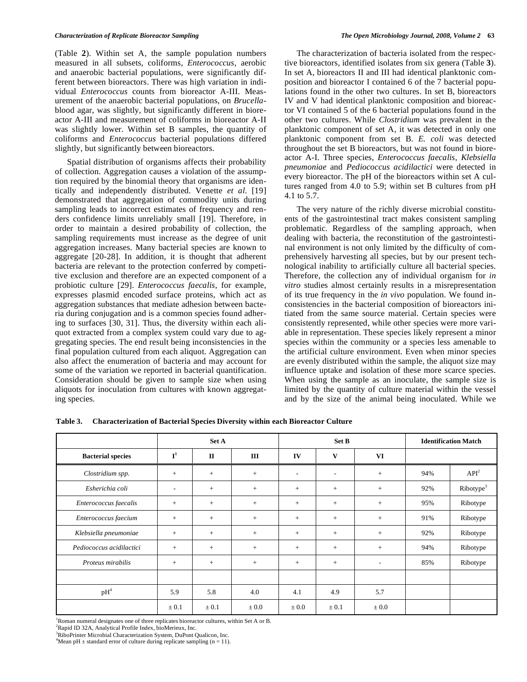(Table **2**). Within set A, the sample population numbers measured in all subsets, coliforms, *Enterococcus*, aerobic and anaerobic bacterial populations, were significantly different between bioreactors. There was high variation in individual *Enterococcus* counts from bioreactor A-III. Measurement of the anaerobic bacterial populations, on *Brucella*blood agar, was slightly, but significantly different in bioreactor A-III and measurement of coliforms in bioreactor A-II was slightly lower. Within set B samples, the quantity of coliforms and *Enterococcus* bacterial populations differed slightly, but significantly between bioreactors.

 Spatial distribution of organisms affects their probability of collection. Aggregation causes a violation of the assumption required by the binomial theory that organisms are identically and independently distributed. Venette *et al*. [19] demonstrated that aggregation of commodity units during sampling leads to incorrect estimates of frequency and renders confidence limits unreliably small [19]. Therefore, in order to maintain a desired probability of collection, the sampling requirements must increase as the degree of unit aggregation increases. Many bacterial species are known to aggregate [20-28]. In addition, it is thought that adherent bacteria are relevant to the protection conferred by competitive exclusion and therefore are an expected component of a probiotic culture [29]. *Enterococcus faecalis*, for example, expresses plasmid encoded surface proteins, which act as aggregation substances that mediate adhesion between bacteria during conjugation and is a common species found adhering to surfaces [30, 31]. Thus, the diversity within each aliquot extracted from a complex system could vary due to aggregating species. The end result being inconsistencies in the final population cultured from each aliquot. Aggregation can also affect the enumeration of bacteria and may account for some of the variation we reported in bacterial quantification. Consideration should be given to sample size when using aliquots for inoculation from cultures with known aggregating species.

 The characterization of bacteria isolated from the respective bioreactors, identified isolates from six genera (Table **3**). In set A, bioreactors II and III had identical planktonic composition and bioreactor I contained 6 of the 7 bacterial populations found in the other two cultures. In set B, bioreactors IV and V had identical planktonic composition and bioreactor VI contained 5 of the 6 bacterial populations found in the other two cultures. While *Clostridium* was prevalent in the planktonic component of set A, it was detected in only one planktonic component from set B. *E. coli* was detected throughout the set B bioreactors, but was not found in bioreactor A-I. Three species, *Enterococcus faecalis*, *Klebsiella pneumoniae* and *Pediococcus acidilactici* were detected in every bioreactor. The pH of the bioreactors within set A cultures ranged from 4.0 to 5.9; within set B cultures from pH 4.1 to 5.7.

 The very nature of the richly diverse microbial constituents of the gastrointestinal tract makes consistent sampling problematic. Regardless of the sampling approach, when dealing with bacteria, the reconstitution of the gastrointestinal environment is not only limited by the difficulty of comprehensively harvesting all species, but by our present technological inability to artificially culture all bacterial species. Therefore, the collection any of individual organism for *in vitro* studies almost certainly results in a misrepresentation of its true frequency in the *in vivo* population. We found inconsistencies in the bacterial composition of bioreactors initiated from the same source material. Certain species were consistently represented, while other species were more variable in representation. These species likely represent a minor species within the community or a species less amenable to the artificial culture environment. Even when minor species are evenly distributed within the sample, the aliquot size may influence uptake and isolation of these more scarce species. When using the sample as an inoculate, the sample size is limited by the quantity of culture material within the vessel and by the size of the animal being inoculated. While we

|                          | Set A                    |              |           | Set B     |                |                          | <b>Identification Match</b> |                       |
|--------------------------|--------------------------|--------------|-----------|-----------|----------------|--------------------------|-----------------------------|-----------------------|
| <b>Bacterial species</b> | ${\bf I}^1$              | $\mathbf{I}$ | III       | IV        | V              | VI                       |                             |                       |
| Clostridium spp.         | $^{+}$                   | $+$          | $+$       | ۰         | $\overline{a}$ | $^{+}$                   | 94%                         | API <sup>2</sup>      |
| Esherichia coli          | $\overline{\phantom{a}}$ | $+$          | $+$       | $+$       | $+$            | $+$                      | 92%                         | Ribotype <sup>3</sup> |
| Enterococcus faecalis    | $+$                      | $+$          | $+$       | $+$       | $+$            | $^{+}$                   | 95%                         | Ribotype              |
| Enterococcus faecium     | $^{+}$                   | $+$          | $+$       | $+$       | $+$            | $+$                      | 91%                         | Ribotype              |
| Klebsiella pneumoniae    | $^{+}$                   | $+$          | $+$       | $+$       | $+$            | $+$                      | 92%                         | Ribotype              |
| Pediococcus acidilactici | $^{+}$                   | $+$          | $+$       | $+$       | $+$            | $^{+}$                   | 94%                         | Ribotype              |
| Proteus mirabilis        | $^{+}$                   | $+$          | $+$       | $+$       | $+$            | $\overline{\phantom{a}}$ | 85%                         | Ribotype              |
|                          |                          |              |           |           |                |                          |                             |                       |
| $pH^4$                   | 5.9                      | 5.8          | 4.0       | 4.1       | 4.9            | 5.7                      |                             |                       |
|                          | $\pm 0.1$                | $\pm 0.1$    | $\pm 0.0$ | $\pm 0.0$ | $\pm 0.1$      | $\pm 0.0$                |                             |                       |

**Table 3. Characterization of Bacterial Species Diversity within each Bioreactor Culture** 

1 Roman numeral designates one of three replicates bioreactor cultures, within Set A or B.

2 Rapid ID 32A, Analytical Profile Index, bioMerieux, Inc.

<sup>3</sup>RiboPrinter Microbial Characterization System, DuPont Qualicon, Inc.

<sup>4</sup>Mean pH  $\pm$  standard error of culture during replicate sampling (n = 11).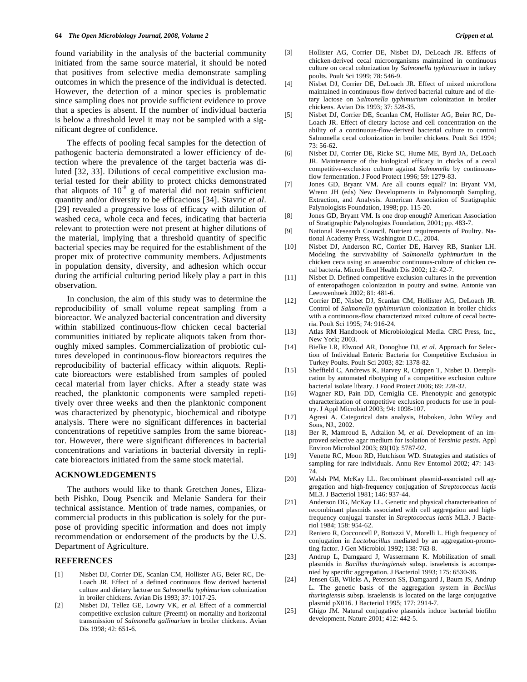found variability in the analysis of the bacterial community initiated from the same source material, it should be noted that positives from selective media demonstrate sampling outcomes in which the presence of the individual is detected. However, the detection of a minor species is problematic since sampling does not provide sufficient evidence to prove that a species is absent. If the number of individual bacteria is below a threshold level it may not be sampled with a significant degree of confidence.

 The effects of pooling fecal samples for the detection of pathogenic bacteria demonstrated a lower efficiency of detection where the prevalence of the target bacteria was diluted [32, 33]. Dilutions of cecal competitive exclusion material tested for their ability to protect chicks demonstrated that aliquots of  $10^{-8}$  g of material did not retain sufficient quantity and/or diversity to be efficacious [34]. Stavric *et al*. [29] revealed a progressive loss of efficacy with dilution of washed ceca, whole ceca and feces, indicating that bacteria relevant to protection were not present at higher dilutions of the material, implying that a threshold quantity of specific bacterial species may be required for the establishment of the proper mix of protective community members. Adjustments in population density, diversity, and adhesion which occur during the artificial culturing period likely play a part in this observation.

 In conclusion, the aim of this study was to determine the reproducibility of small volume repeat sampling from a bioreactor. We analyzed bacterial concentration and diversity within stabilized continuous-flow chicken cecal bacterial communities initiated by replicate aliquots taken from thoroughly mixed samples. Commercialization of probiotic cultures developed in continuous-flow bioreactors requires the reproducibility of bacterial efficacy within aliquots. Replicate bioreactors were established from samples of pooled cecal material from layer chicks. After a steady state was reached, the planktonic components were sampled repetitively over three weeks and then the planktonic component was characterized by phenotypic, biochemical and ribotype analysis. There were no significant differences in bacterial concentrations of repetitive samples from the same bioreactor. However, there were significant differences in bacterial concentrations and variations in bacterial diversity in replicate bioreactors initiated from the same stock material.

#### **ACKNOWLEDGEMENTS**

 The authors would like to thank Gretchen Jones, Elizabeth Pishko, Doug Psencik and Melanie Sandera for their technical assistance. Mention of trade names, companies, or commercial products in this publication is solely for the purpose of providing specific information and does not imply recommendation or endorsement of the products by the U.S. Department of Agriculture.

#### **REFERENCES**

- [1] Nisbet DJ, Corrier DE, Scanlan CM, Hollister AG, Beier RC, De-Loach JR. Effect of a defined continuous flow derived bacterial culture and dietary lactose on *Salmonella typhimurium* colonization in broiler chickens. Avian Dis 1993; 37: 1017-25.
- [2] Nisbet DJ, Tellez GE, Lowry VK, *et al*. Effect of a commercial competitive exclusion culture (Preemt) on mortality and horizontal transmission of *Salmonella gallinarium* in broiler chickens. Avian Dis 1998; 42: 651-6.
- [3] Hollister AG, Corrier DE, Nisbet DJ, DeLoach JR. Effects of chicken-derived cecal microorganisms maintained in continuous culture on cecal colonization by *Salmonella typhimurium* in turkey poults. Poult Sci 1999; 78: 546-9.
- [4] Nisbet DJ, Corrier DE, DeLoach JR. Effect of mixed microflora maintained in continuous-flow derived bacterial culture and of dietary lactose on *Salmonella typhimurium* colonization in broiler chickens. Avian Dis 1993; 37: 528-35.
- [5] Nisbet DJ, Corrier DE, Scanlan CM, Hollister AG, Beier RC, De-Loach JR. Effect of dietary lactose and cell concentration on the ability of a continuous-flow-derived bacterial culture to control Salmonella cecal colonization in broiler chickens. Poult Sci 1994;  $73:56-62.$
- [6] Nisbet DJ, Corrier DE, Ricke SC, Hume ME, Byrd JA, DeLoach JR. Maintenance of the biological efficacy in chicks of a cecal competitive-exclusion culture against *Salmonella* by continuousflow fermentation. J Food Protect 1996; 59: 1279-83.
- [7] Jones GD, Bryant VM. Are all counts equal? In: Bryant VM, Wrenn JH (eds) New Developments in Palynomorph Sampling, Extraction, and Analysis. American Association of Stratigraphic Palynologists Foundation, 1998; pp. 115-20.
- [8] Jones GD, Bryant VM. Is one drop enough? American Association of Stratigraphic Palynologists Foundation, 2001; pp. 483-7.
- [9] National Research Council. Nutrient requirements of Poultry. National Academy Press, Washington D.C., 2004.
- [10] Nisbet DJ, Anderson RC, Corrier DE, Harvey RB, Stanker LH. Modeling the survivability of *Salmonella typhimurium* in the chicken ceca using an anaerobic continuous-culture of chicken cecal bacteria. Microb Ecol Health Dis 2002; 12: 42-7.
- [11] Nisbet D. Defined competitive exclusion cultures in the prevention of enteropathogen colonization in poutry and swine. Antonie van Leeuwenhoek 2002; 81: 481-6.
- [12] Corrier DE, Nisbet DJ, Scanlan CM, Hollister AG, DeLoach JR. Control of *Salmonella typhimurium* colonization in broiler chicks with a continuous-flow characterized mixed culture of cecal bacteria. Poult Sci 1995; 74: 916-24.
- [13] Atlas RM Handbook of Microbiological Media. CRC Press, Inc., New York: 2003.
- [14] Bielke LR, Elwood AR, Donoghue DJ, *et al.* Approach for Selection of Individual Enteric Bacteria for Competitive Exclusion in Turkey Poults. Poult Sci 2003; 82: 1378-82.
- [15] Sheffield C, Andrews K, Harvey R, Crippen T, Nisbet D. Dereplication by automated ribotyping of a competitive exclusion culture bacterial isolate library. J Food Protect 2006; 69: 228-32.
- [16] Wagner RD, Pain DD, Cerniglia CE. Phenotypic and genotypic characterization of competitive exclusion products for use in poultry. J Appl Microbiol 2003; 94: 1098-107.
- [17] Agresi A. Categorical data analysis, Hoboken, John Wiley and Sons, NJ., 2002.
- [18] Ber R, Mamroud E, Adtalion M, *et al.* Development of an improved selective agar medium for isolation of *Yersinia pestis*. Appl Environ Microbiol 2003; 69(10): 5787-92.
- [19] Venette RC, Moon RD, Hutchison WD. Strategies and statistics of sampling for rare individuals. Annu Rev Entomol 2002; 47: 143- 74.
- [20] Walsh PM, McKay LL. Recombinant plasmid-associated cell aggregation and high-frequency conjugation of *Streptococcus lactis* ML3. J Bacteriol 1981; 146: 937-44.
- [21] Anderson DG, McKay LL. Genetic and physical characterisation of recombinant plasmids associated with cell aggregation and highfrequency conjugal transfer in *Streptococcus lactis* ML3. J Bacteriol 1984; 158: 954-62.
- [22] Reniero R, Cocconcell P, Bottazzi V, Morelli L. High frequency of conjugation in *Lactobacillus* mediated by an aggregation-promoting factor. J Gen Microbiol 1992; 138: 763-8.
- [23] Andrup L, Damgaard J, Wassermann K. Mobilization of small plasmids in *Bacillus thuringiensis* subsp. israelensis is accompanied by specific aggregation. J Bacteriol 1993; 175: 6530-36.
- [24] Jensen GB, Wilcks A, Peterson SS, Damgaard J, Baum JS, Andrup L. The genetic basis of the aggregation system in *Bacillus thuringiensis* subsp. israelensis is located on the large conjugative plasmid pX016. J Bacteriol 1995; 177: 2914-7.
- [25] Ghigo JM. Natural conjugative plasmids induce bacterial biofilm development. Nature 2001; 412: 442-5.